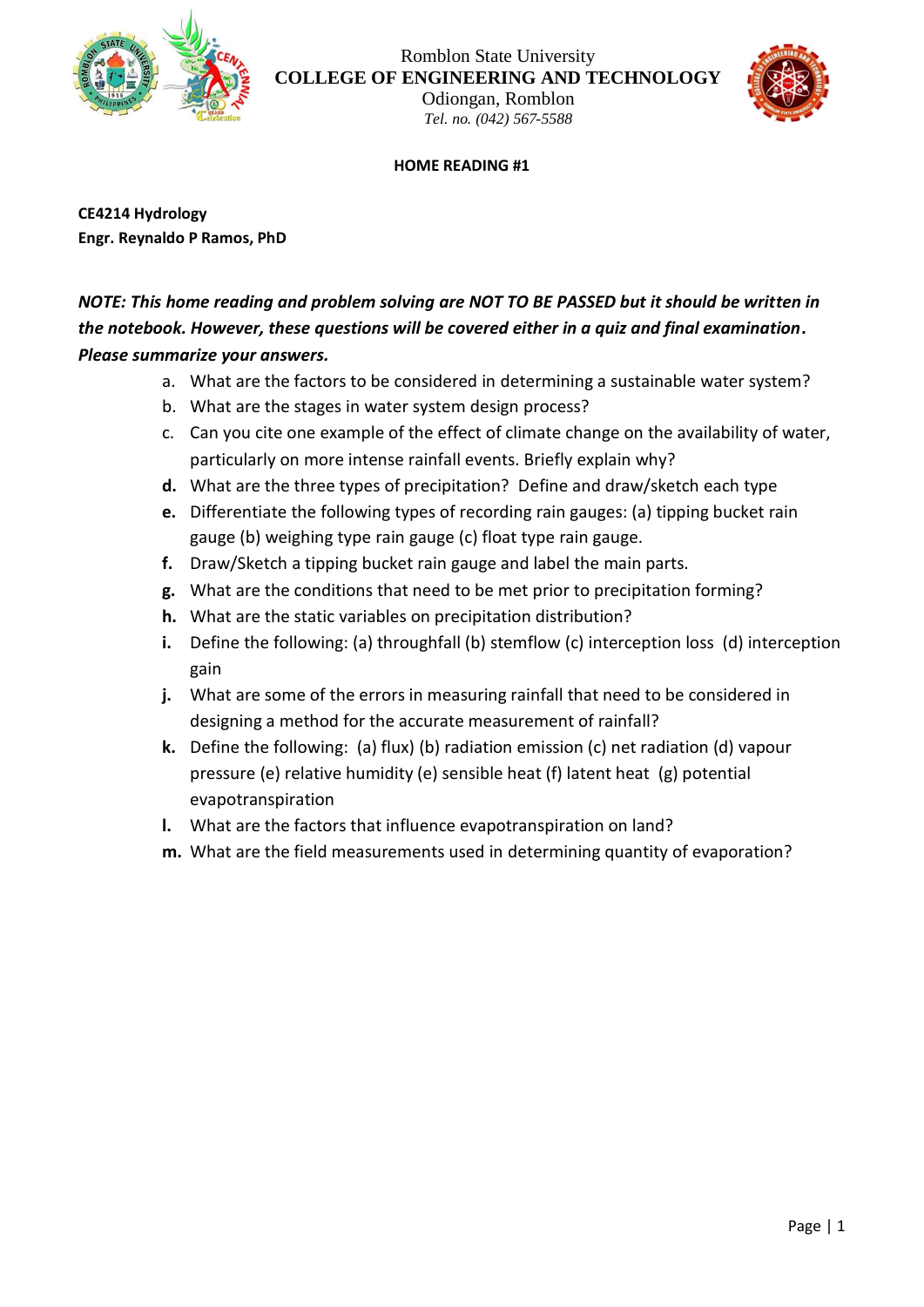

Romblon State University **COLLEGE OF ENGINEERING AND TECHNOLOGY**

Odiongan, Romblon *Tel. no. (042) 567-5588*



## **HOME READING #1**

**CE4214 Hydrology Engr. Reynaldo P Ramos, PhD**

## *NOTE: This home reading and problem solving are NOT TO BE PASSED but it should be written in the notebook. However, these questions will be covered either in a quiz and final examination. Please summarize your answers.*

- a. What are the factors to be considered in determining a sustainable water system?
- b. What are the stages in water system design process?
- c. Can you cite one example of the effect of climate change on the availability of water, particularly on more intense rainfall events. Briefly explain why?
- **d.** What are the three types of precipitation? Define and draw/sketch each type
- **e.** Differentiate the following types of recording rain gauges: (a) tipping bucket rain gauge (b) weighing type rain gauge (c) float type rain gauge.
- **f.** Draw/Sketch a tipping bucket rain gauge and label the main parts.
- **g.** What are the conditions that need to be met prior to precipitation forming?
- **h.** What are the static variables on precipitation distribution?
- **i.** Define the following: (a) throughfall (b) stemflow (c) interception loss (d) interception gain
- **j.** What are some of the errors in measuring rainfall that need to be considered in designing a method for the accurate measurement of rainfall?
- **k.** Define the following: (a) flux) (b) radiation emission (c) net radiation (d) vapour pressure (e) relative humidity (e) sensible heat (f) latent heat (g) potential evapotranspiration
- **l.** What are the factors that influence evapotranspiration on land?
- **m.** What are the field measurements used in determining quantity of evaporation?